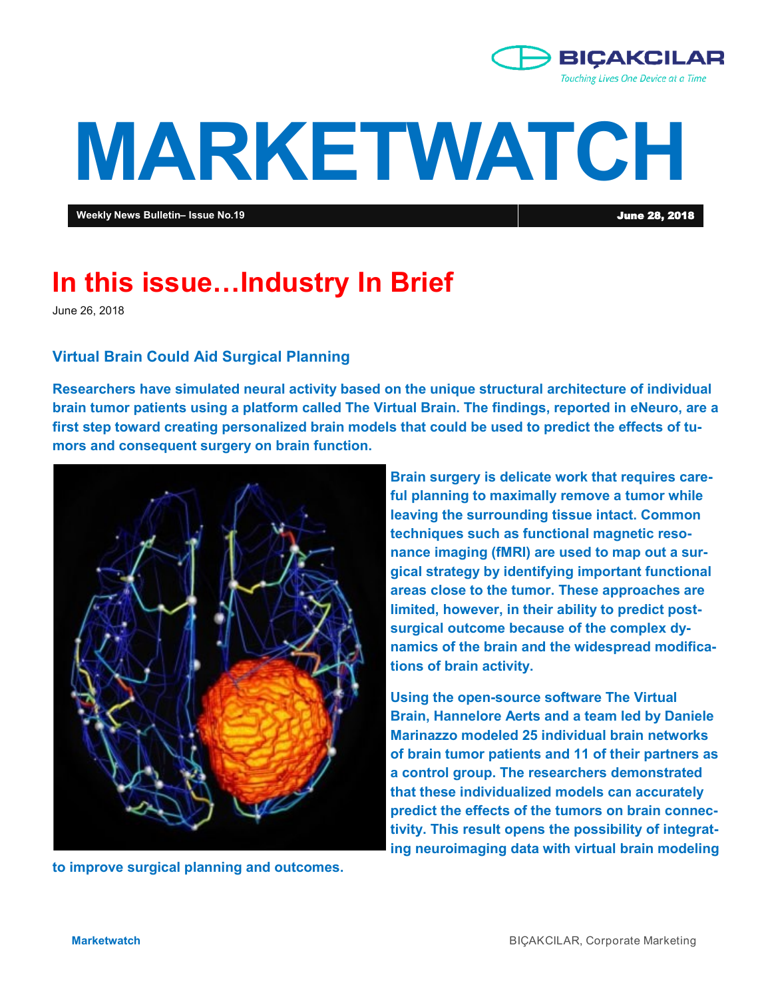

# **MARKETWATCH**

**Weekly News Bulletin– Issue No.19** June 28, 2018

# **In this issue…Industry In Brief**

June 26, 2018

# **Virtual Brain Could Aid Surgical Planning**

**Researchers have simulated neural activity based on the unique structural architecture of individual brain tumor patients using a platform called The Virtual Brain. The findings, reported in eNeuro, are a first step toward creating personalized brain models that could be used to predict the effects of tumors and consequent surgery on brain function.**



**to improve surgical planning and outcomes.** 

**Brain surgery is delicate work that requires careful planning to maximally remove a tumor while leaving the surrounding tissue intact. Common techniques such as functional magnetic resonance imaging (fMRI) are used to map out a surgical strategy by identifying important functional areas close to the tumor. These approaches are limited, however, in their ability to predict postsurgical outcome because of the complex dynamics of the brain and the widespread modifications of brain activity.**

**Using the open-source software The Virtual Brain, Hannelore Aerts and a team led by Daniele Marinazzo modeled 25 individual brain networks of brain tumor patients and 11 of their partners as a control group. The researchers demonstrated that these individualized models can accurately predict the effects of the tumors on brain connectivity. This result opens the possibility of integrating neuroimaging data with virtual brain modeling**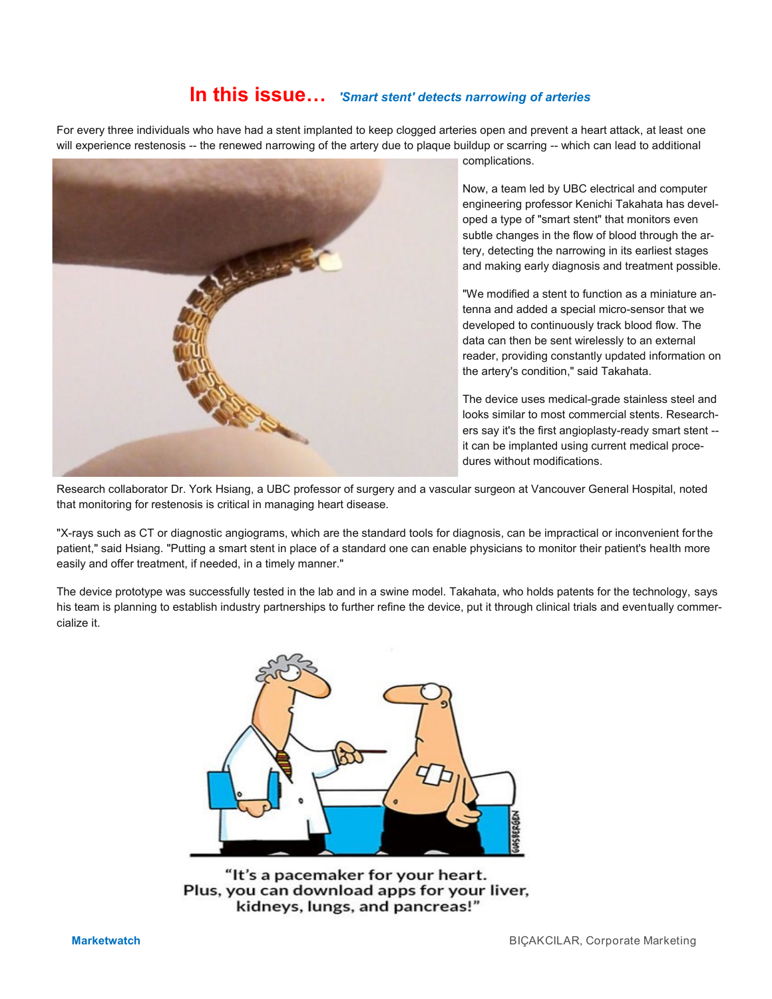# **In this issue…** *'Smart stent' detects narrowing of arteries*

For every three individuals who have had a stent implanted to keep clogged arteries open and prevent a heart attack, at least one will experience restenosis -- the renewed narrowing of the artery due to plaque buildup or scarring -- which can lead to additional



complications.

Now, a team led by UBC electrical and computer engineering professor Kenichi Takahata has developed a type of "smart stent" that monitors even subtle changes in the flow of blood through the artery, detecting the narrowing in its earliest stages and making early diagnosis and treatment possible.

"We modified a stent to function as a miniature antenna and added a special micro-sensor that we developed to continuously track blood flow. The data can then be sent wirelessly to an external reader, providing constantly updated information on the artery's condition," said Takahata.

The device uses medical-grade stainless steel and looks similar to most commercial stents. Researchers say it's the first angioplasty-ready smart stent - it can be implanted using current medical procedures without modifications.

Research collaborator Dr. York Hsiang, a UBC professor of surgery and a vascular surgeon at Vancouver General Hospital, noted that monitoring for restenosis is critical in managing heart disease.

"X-rays such as CT or diagnostic angiograms, which are the standard tools for diagnosis, can be impractical or inconvenient for the patient," said Hsiang. "Putting a smart stent in place of a standard one can enable physicians to monitor their patient's health more easily and offer treatment, if needed, in a timely manner."

The device prototype was successfully tested in the lab and in a swine model. Takahata, who holds patents for the technology, says his team is planning to establish industry partnerships to further refine the device, put it through clinical trials and eventually commercialize it.



"It's a pacemaker for your heart. Plus, you can download apps for your liver, kidneys, lungs, and pancreas!"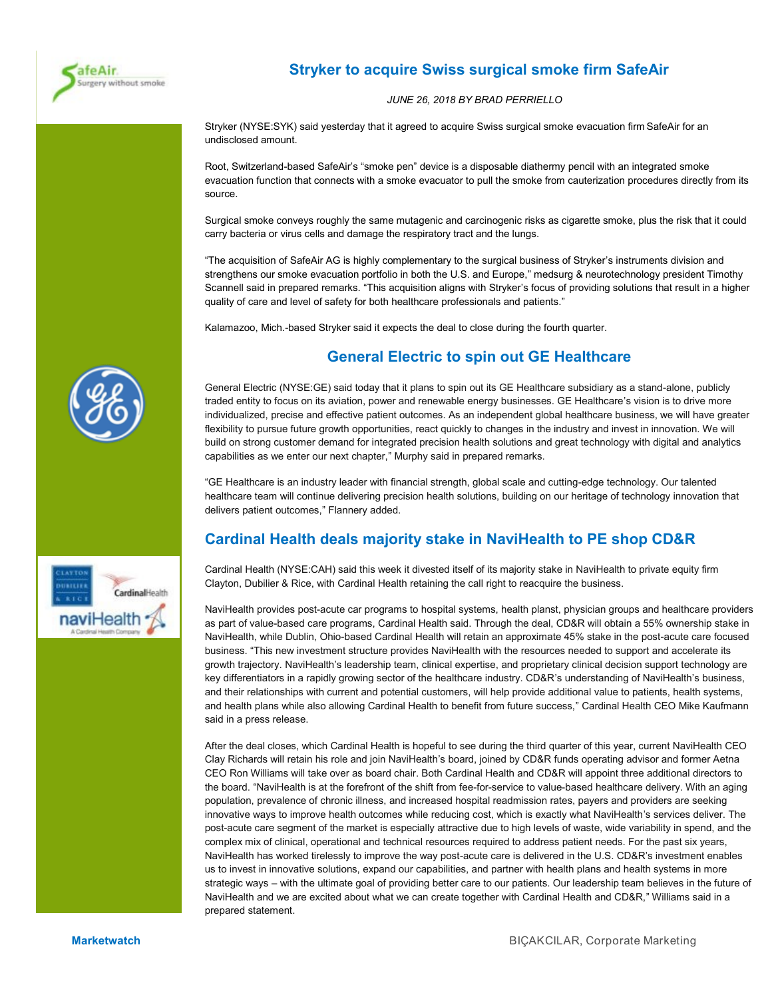

# **Stryker to acquire Swiss surgical smoke firm SafeAir**

#### *JUNE 26, 2018 BY BRAD PERRIELLO*

Stryker (NYSE:SYK) said yesterday that it agreed to acquire Swiss surgical smoke evacuation firm SafeAir for an undisclosed amount.

Root, Switzerland-based SafeAir's "smoke pen" device is a disposable diathermy pencil with an integrated smoke evacuation function that connects with a smoke evacuator to pull the smoke from cauterization procedures directly from its source.

Surgical smoke conveys roughly the same mutagenic and carcinogenic risks as cigarette smoke, plus the risk that it could carry bacteria or virus cells and damage the respiratory tract and the lungs.

"The acquisition of SafeAir AG is highly complementary to the surgical business of Stryker's instruments division and strengthens our smoke evacuation portfolio in both the U.S. and Europe," medsurg & neurotechnology president Timothy Scannell said in prepared remarks. "This acquisition aligns with Stryker's focus of providing solutions that result in a higher quality of care and level of safety for both healthcare professionals and patients."

Kalamazoo, Mich.-based Stryker said it expects the deal to close during the fourth quarter.

# **General Electric to spin out GE Healthcare**

General Electric (NYSE:GE) said today that it plans to spin out its GE Healthcare subsidiary as a stand-alone, publicly traded entity to focus on its aviation, power and renewable energy businesses. GE Healthcare's vision is to drive more individualized, precise and effective patient outcomes. As an independent global healthcare business, we will have greater flexibility to pursue future growth opportunities, react quickly to changes in the industry and invest in innovation. We will build on strong customer demand for integrated precision health solutions and great technology with digital and analytics capabilities as we enter our next chapter," Murphy said in prepared remarks.

"GE Healthcare is an industry leader with financial strength, global scale and cutting-edge technology. Our talented healthcare team will continue delivering precision health solutions, building on our heritage of technology innovation that delivers patient outcomes," Flannery added.

# **Cardinal Health deals majority stake in NaviHealth to PE shop CD&R**

Cardinal Health (NYSE:CAH) said this week it divested itself of its majority stake in NaviHealth to private equity firm Clayton, Dubilier & Rice, with Cardinal Health retaining the call right to reacquire the business.

NaviHealth provides post-acute car programs to hospital systems, health planst, physician groups and healthcare providers as part of value-based care programs, Cardinal Health said. Through the deal, CD&R will obtain a 55% ownership stake in NaviHealth, while Dublin, Ohio-based Cardinal Health will retain an approximate 45% stake in the post-acute care focused business. "This new investment structure provides NaviHealth with the resources needed to support and accelerate its growth trajectory. NaviHealth's leadership team, clinical expertise, and proprietary clinical decision support technology are key differentiators in a rapidly growing sector of the healthcare industry. CD&R's understanding of NaviHealth's business, and their relationships with current and potential customers, will help provide additional value to patients, health systems, and health plans while also allowing Cardinal Health to benefit from future success," Cardinal Health CEO Mike Kaufmann said in a press release.

After the deal closes, which Cardinal Health is hopeful to see during the third quarter of this year, current NaviHealth CEO Clay Richards will retain his role and join NaviHealth's board, joined by CD&R funds operating advisor and former Aetna CEO Ron Williams will take over as board chair. Both Cardinal Health and CD&R will appoint three additional directors to the board. "NaviHealth is at the forefront of the shift from fee-for-service to value-based healthcare delivery. With an aging population, prevalence of chronic illness, and increased hospital readmission rates, payers and providers are seeking innovative ways to improve health outcomes while reducing cost, which is exactly what NaviHealth's services deliver. The post-acute care segment of the market is especially attractive due to high levels of waste, wide variability in spend, and the complex mix of clinical, operational and technical resources required to address patient needs. For the past six years, NaviHealth has worked tirelessly to improve the way post-acute care is delivered in the U.S. CD&R's investment enables us to invest in innovative solutions, expand our capabilities, and partner with health plans and health systems in more strategic ways – with the ultimate goal of providing better care to our patients. Our leadership team believes in the future of NaviHealth and we are excited about what we can create together with Cardinal Health and CD&R," Williams said in a prepared statement.



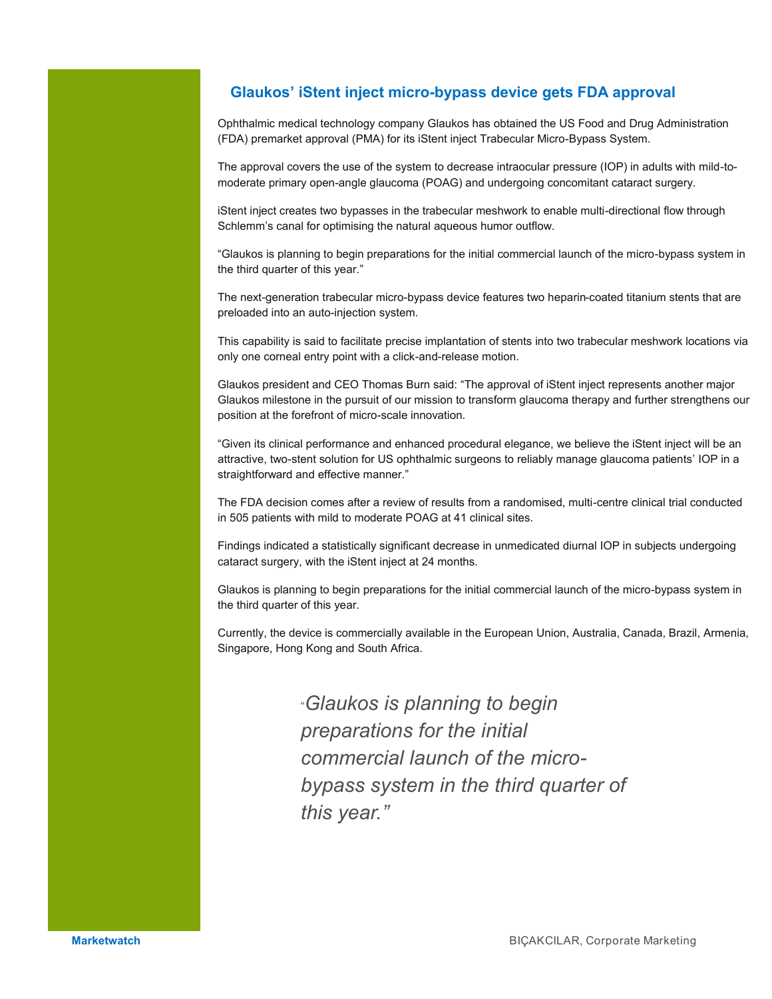# **Glaukos' iStent inject micro-bypass device gets FDA approval**

Ophthalmic medical technology company Glaukos has obtained the US Food and Drug Administration (FDA) premarket approval (PMA) for its iStent inject Trabecular Micro-Bypass System.

The approval covers the use of the system to decrease intraocular pressure (IOP) in adults with mild-tomoderate primary open-angle glaucoma (POAG) and undergoing concomitant cataract surgery.

iStent inject creates two bypasses in the trabecular meshwork to enable multi-directional flow through Schlemm's canal for optimising the natural aqueous humor outflow.

"Glaukos is planning to begin preparations for the initial commercial launch of the micro-bypass system in the third quarter of this year."

The next-generation trabecular micro-bypass device features two heparin-coated titanium stents that are preloaded into an auto-injection system.

This capability is said to facilitate precise implantation of stents into two trabecular meshwork locations via only one corneal entry point with a click-and-release motion.

Glaukos president and CEO Thomas Burn said: "The approval of iStent inject represents another major Glaukos milestone in the pursuit of our mission to transform glaucoma therapy and further strengthens our position at the forefront of micro-scale innovation.

"Given its clinical performance and enhanced procedural elegance, we believe the iStent inject will be an attractive, two-stent solution for US ophthalmic surgeons to reliably manage glaucoma patients' IOP in a straightforward and effective manner."

The FDA decision comes after a review of results from a randomised, multi-centre clinical trial conducted in 505 patients with mild to moderate POAG at 41 clinical sites.

Findings indicated a statistically significant decrease in unmedicated diurnal IOP in subjects undergoing cataract surgery, with the iStent inject at 24 months.

Glaukos is planning to begin preparations for the initial commercial launch of the micro-bypass system in the third quarter of this year.

Currently, the device is commercially available in the European Union, Australia, Canada, Brazil, Armenia, Singapore, Hong Kong and South Africa.

> "*Glaukos is planning to begin preparations for the initial commercial launch of the microbypass system in the third quarter of this year."*